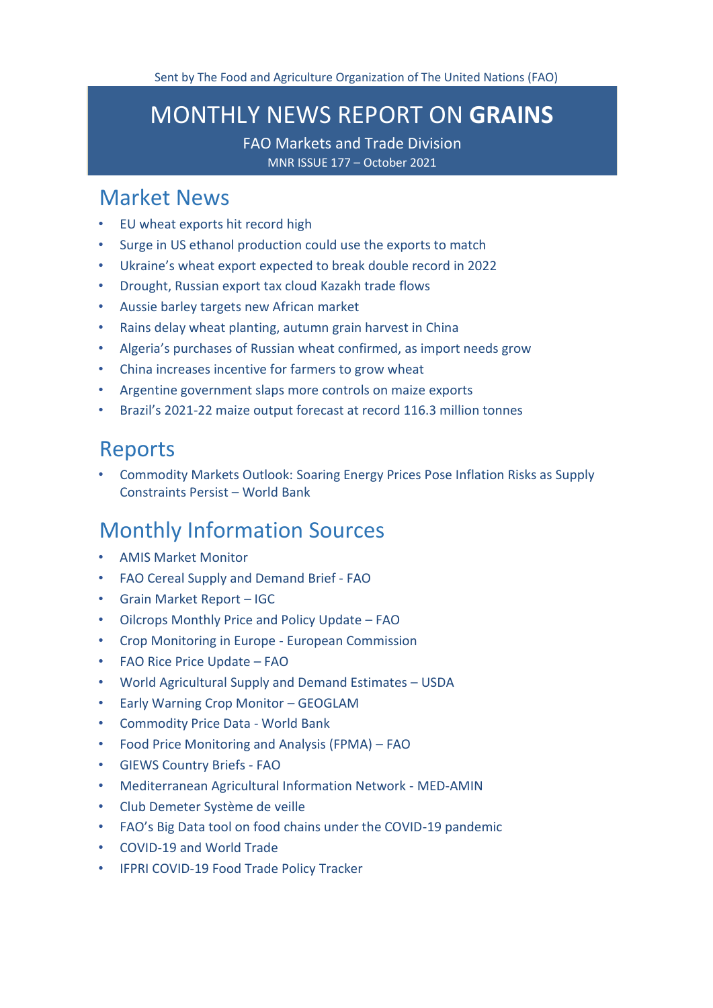# <span id="page-0-0"></span>MONTHLY NEWS REPORT ON **GRAINS**

FAO Markets and Trade Division MNR ISSUE 177 – October 2021

# [Market News](#page-1-0)

- [EU wheat exports hit record high](#page-1-1)
- [Surge in US ethanol production could use the exports to match](#page-1-2)
- [Ukraine's wheat export expected to break double record in 2022](#page-2-0)
- [Drought, Russian export tax cloud Kazakh trade flows](#page-3-0)
- [Aussie barley targets new African market](#page-4-0)
- [Rains delay wheat planting, autumn grain harvest in China](#page-5-0)
- [Algeria's purchases of Russian wheat confirmed, as import needs grow](#page-6-0)
- [China increases incentive for farmers to grow wheat](#page-7-0)
- [Argentine government slaps more controls on maize exports](#page-7-0)
- Brazil's 2021[-22 maize output forecast at record 116.3 million tonnes](#page-8-0)

# [Reports](#page-9-0)

• [Commodity Markets Outlook: Soaring Energy Prices Pose Inflation Risks as Supply](#page-9-1)  [Constraints Persist](#page-9-1) – World Bank

# [Monthly Information Sources](#page-9-2)

- [AMIS Market](http://www.amis-outlook.org/amis-monitoring#.XoMGLIgzZPY) Monitor
- [FAO Cereal Supply and Demand Brief -](http://www.fao.org/worldfoodsituation/csdb/en/) FAO
- [Grain Market Report](http://www.igc.int/downloads/gmrsummary/gmrsumme.pdf) [–](http://www.igc.int/downloads/gmrsummary/gmrsumme.pdf) [IGC](http://www.igc.int/downloads/gmrsummary/gmrsumme.pdf)
- [Oilcrops Monthly Price and Policy Update](https://www.fao.org/markets-and-trade/publications/detail/en/c/1443956/)  FAO
- [Crop Monitoring in Europe -](https://publications.jrc.ec.europa.eu/repository/handle/JRC124855) European Commission
- [FAO Rice Price Update](http://www.fao.org/economic/est/publications/rice-publications/the-fao-rice-price-update/it/)  FAO
- [World Agricultural Supply and Demand Estimates](https://www.usda.gov/oce/commodity/wasde/wasde1021.pdf)  USDA
- [Early Warning Crop Monitor](https://cropmonitor.org/index.php/cmreports/earlywarning-report/)  GEOGLAM
- [Commodity Price Data -](https://thedocs.worldbank.org/en/doc/5d903e848db1d1b83e0ec8f744e55570-0350012021/related/CMO-Pink-Sheet-October-2021.pdf) World Bank
- [Food Price Monitoring and Analysis \(FPMA\)](http://www.fao.org/3/cb6677en/cb6677en.pdf)  FAO
- [GIEWS Country Briefs -](http://www.fao.org/giews/countrybrief/index.jsp) [FAO](http://www.fao.org/giews/countrybrief/index.jsp)
- [Mediterranean Agricultural Information Network -](https://www.scoop.it/topic/med-amin) MED-AMIN
- [Club Demeter Système de](https://www.scoop.it/u/club-demeter) veille
- [FAO's Big Data tool on food chains under the COVID](http://www.fao.org/datalab/website/web/covid19)-19 pandemic
- [COVID-19 and World](https://www.wto.org/english/tratop_e/covid19_e/covid19_e.htm) Trade
- [IFPRI COVID-19 Food Trade Policy](https://www.ifpri.org/project/covid-19-food-trade-policy-tracker) Tracker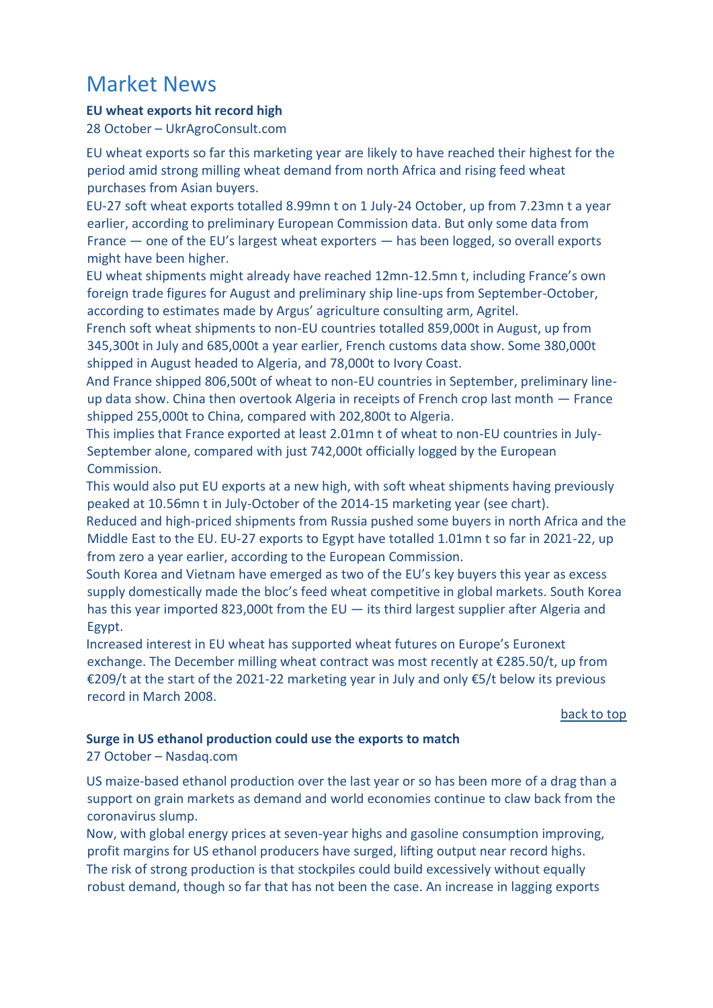# <span id="page-1-0"></span>Market News

### <span id="page-1-1"></span>**EU wheat exports hit record high**

28 October – UkrAgroConsult.com

EU wheat exports so far this marketing year are likely to have reached their highest for the period amid strong milling wheat demand from north Africa and rising feed wheat purchases from Asian buyers.

EU-27 soft wheat exports totalled 8.99mn t on 1 July-24 October, up from 7.23mn t a year earlier, according to preliminary European Commission data. But only some data from France — one of the EU's largest wheat exporters — has been logged, so overall exports might have been higher.

EU wheat shipments might already have reached 12mn-12.5mn t, including France's own foreign trade figures for August and preliminary ship line-ups from September-October, according to estimates made by Argus' agriculture consulting arm, Agritel.

French soft wheat shipments to non-EU countries totalled 859,000t in August, up from 345,300t in July and 685,000t a year earlier, French customs data show. Some 380,000t shipped in August headed to Algeria, and 78,000t to Ivory Coast.

And France shipped 806,500t of wheat to non-EU countries in September, preliminary lineup data show. China then overtook Algeria in receipts of French crop last month — France shipped 255,000t to China, compared with 202,800t to Algeria.

This implies that France exported at least 2.01mn t of wheat to non-EU countries in July-September alone, compared with just 742,000t officially logged by the European Commission.

This would also put EU exports at a new high, with soft wheat shipments having previously peaked at 10.56mn t in July-October of the 2014-15 marketing year (see chart).

Reduced and high-priced shipments from Russia pushed some buyers in north Africa and the Middle East to the EU. EU-27 exports to Egypt have totalled 1.01mn t so far in 2021-22, up from zero a year earlier, according to the European Commission.

South Korea and Vietnam have emerged as two of the EU's key buyers this year as excess supply domestically made the bloc's feed wheat competitive in global markets. South Korea has this year imported 823,000t from the EU  $-$  its third largest supplier after Algeria and Egypt.

Increased interest in EU wheat has supported wheat futures on Europe's Euronext exchange. The December milling wheat contract was most recently at €285.50/t, up from €209/t at the start of the 2021-22 marketing year in July and only €5/t below its previous record in March 2008.

[back to top](#page-0-0) 

### <span id="page-1-2"></span>**Surge in US ethanol production could use the exports to match** 27 October – Nasdaq.com

US maize-based ethanol production over the last year or so has been more of a drag than a support on grain markets as demand and world economies continue to claw back from the coronavirus slump.

Now, with global energy prices at seven-year highs and gasoline consumption improving, profit margins for US ethanol producers have surged, lifting output near record highs. The risk of strong production is that stockpiles could build excessively without equally robust demand, though so far that has not been the case. An increase in lagging exports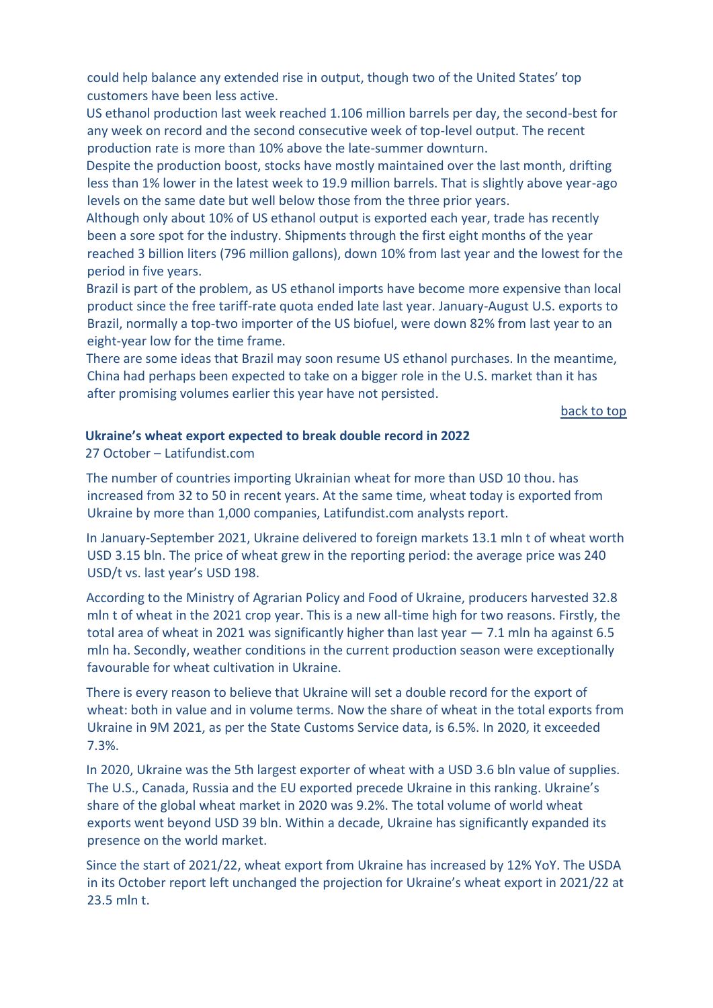could help balance any extended rise in output, though two of the United States' top customers have been less active.

US ethanol production last week reached 1.106 million barrels per day, the second-best for any week on record and the second consecutive week of top-level output. The recent production rate is more than 10% above the late-summer downturn.

Despite the production boost, stocks have mostly maintained over the last month, drifting less than 1% lower in the latest week to 19.9 million barrels. That is slightly above year-ago levels on the same date but well below those from the three prior years.

Although only about 10% of US ethanol output is exported each year, trade has recently been a sore spot for the industry. Shipments through the first eight months of the year reached 3 billion liters (796 million gallons), down 10% from last year and the lowest for the period in five years.

Brazil is part of the problem, as US ethanol imports have become more expensive than local product since the free tariff-rate quota ended late last year. January-August U.S. exports to Brazil, normally a top-two importer of the US biofuel, were down 82% from last year to an eight-year low for the time frame.

There are some ideas that Brazil may soon resume US ethanol purchases. In the meantime, China had perhaps been expected to take on a bigger role in the U.S. market than it has after promising volumes earlier this year have not persisted.

[back to top](#page-0-0) 

## <span id="page-2-0"></span>**Ukraine's wheat export expected to break double record in 2022**

27 October – Latifundist.com

The number of countries importing Ukrainian wheat for more than USD 10 thou. has increased from 32 to 50 in recent years. At the same time, wheat today is exported from Ukraine by more than 1,000 companies, Latifundist.com analysts report.

In January-September 2021, Ukraine delivered to foreign markets 13.1 mln t of wheat worth USD 3.15 bln. The price of wheat grew in the reporting period: the average price was 240 USD/t vs. last year's USD 198.

According to the Ministry of Agrarian Policy and Food of Ukraine, producers harvested 32.8 mln t of wheat in the 2021 crop year. This is a new all-time high for two reasons. Firstly, the total area of wheat in 2021 was significantly higher than last year — 7.1 mln ha against 6.5 mln ha. Secondly, weather conditions in the current production season were exceptionally favourable for wheat cultivation in Ukraine.

There is every reason to believe that Ukraine will set a double record for the export of wheat: both in value and in volume terms. Now the share of wheat in the total exports from Ukraine in 9M 2021, as per the State Customs Service data, is 6.5%. In 2020, it exceeded 7.3%.

In 2020, Ukraine was the 5th largest exporter of wheat with a USD 3.6 bln value of supplies. The U.S., Canada, Russia and the EU exported precede Ukraine in this ranking. Ukraine's share of the global wheat market in 2020 was 9.2%. The total volume of world wheat exports went beyond USD 39 bln. Within a decade, Ukraine has significantly expanded its presence on the world market.

Since the start of 2021/22, wheat export from Ukraine has increased by 12% YoY. The USDA in its October report left unchanged the projection for Ukraine's wheat export in 2021/22 at 23.5 mln t.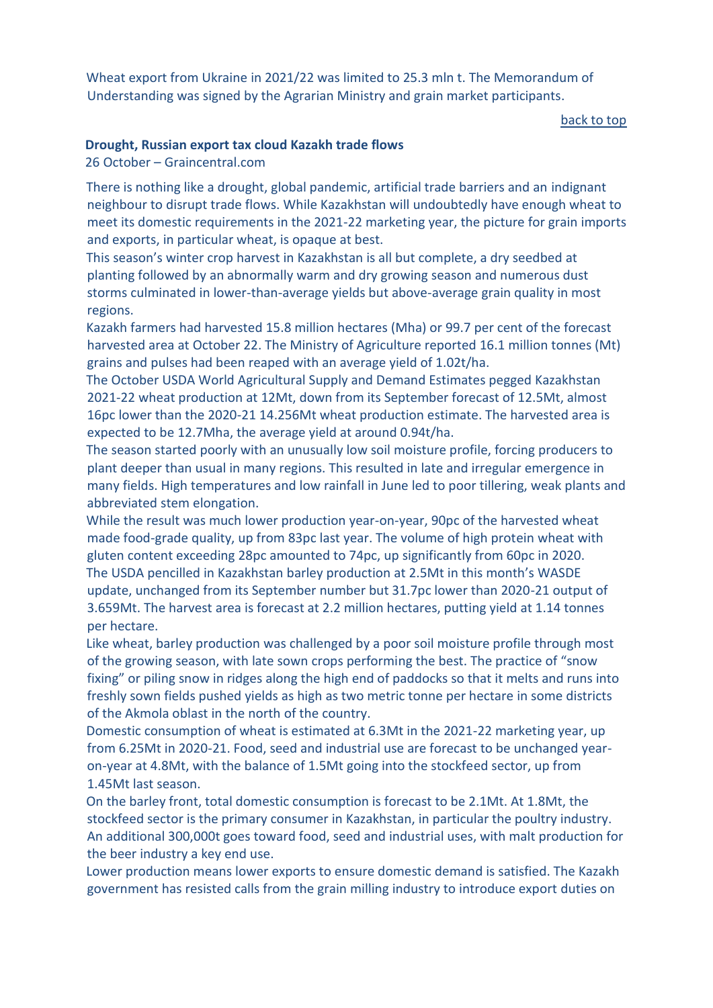Wheat export from Ukraine in 2021/22 was limited to 25.3 mln t. The Memorandum of Understanding was signed by the Agrarian Ministry and grain market participants.

[back to top](#page-0-0) 

### <span id="page-3-0"></span>**Drought, Russian export tax cloud Kazakh trade flows**

26 October – Graincentral.com

There is nothing like a drought, global pandemic, artificial trade barriers and an indignant neighbour to disrupt trade flows. While Kazakhstan will undoubtedly have enough wheat to meet its domestic requirements in the 2021-22 marketing year, the picture for grain imports and exports, in particular wheat, is opaque at best.

This season's winter crop harvest in Kazakhstan is all but complete, a dry seedbed at planting followed by an abnormally warm and dry growing season and numerous dust storms culminated in lower-than-average yields but above-average grain quality in most regions.

Kazakh farmers had harvested 15.8 million hectares (Mha) or 99.7 per cent of the forecast harvested area at October 22. The Ministry of Agriculture reported 16.1 million tonnes (Mt) grains and pulses had been reaped with an average yield of 1.02t/ha.

The October USDA World Agricultural Supply and Demand Estimates pegged Kazakhstan 2021-22 wheat production at 12Mt, down from its September forecast of 12.5Mt, almost 16pc lower than the 2020-21 14.256Mt wheat production estimate. The harvested area is expected to be 12.7Mha, the average yield at around 0.94t/ha.

The season started poorly with an unusually low soil moisture profile, forcing producers to plant deeper than usual in many regions. This resulted in late and irregular emergence in many fields. High temperatures and low rainfall in June led to poor tillering, weak plants and abbreviated stem elongation.

While the result was much lower production year-on-year, 90pc of the harvested wheat made food-grade quality, up from 83pc last year. The volume of high protein wheat with gluten content exceeding 28pc amounted to 74pc, up significantly from 60pc in 2020. The USDA pencilled in Kazakhstan barley production at 2.5Mt in this month's WASDE update, unchanged from its September number but 31.7pc lower than 2020-21 output of 3.659Mt. The harvest area is forecast at 2.2 million hectares, putting yield at 1.14 tonnes per hectare.

Like wheat, barley production was challenged by a poor soil moisture profile through most of the growing season, with late sown crops performing the best. The practice of "snow fixing" or piling snow in ridges along the high end of paddocks so that it melts and runs into freshly sown fields pushed yields as high as two metric tonne per hectare in some districts of the Akmola oblast in the north of the country.

Domestic consumption of wheat is estimated at 6.3Mt in the 2021-22 marketing year, up from 6.25Mt in 2020-21. Food, seed and industrial use are forecast to be unchanged yearon-year at 4.8Mt, with the balance of 1.5Mt going into the stockfeed sector, up from 1.45Mt last season.

On the barley front, total domestic consumption is forecast to be 2.1Mt. At 1.8Mt, the stockfeed sector is the primary consumer in Kazakhstan, in particular the poultry industry. An additional 300,000t goes toward food, seed and industrial uses, with malt production for the beer industry a key end use.

Lower production means lower exports to ensure domestic demand is satisfied. The Kazakh government has resisted calls from the grain milling industry to introduce export duties on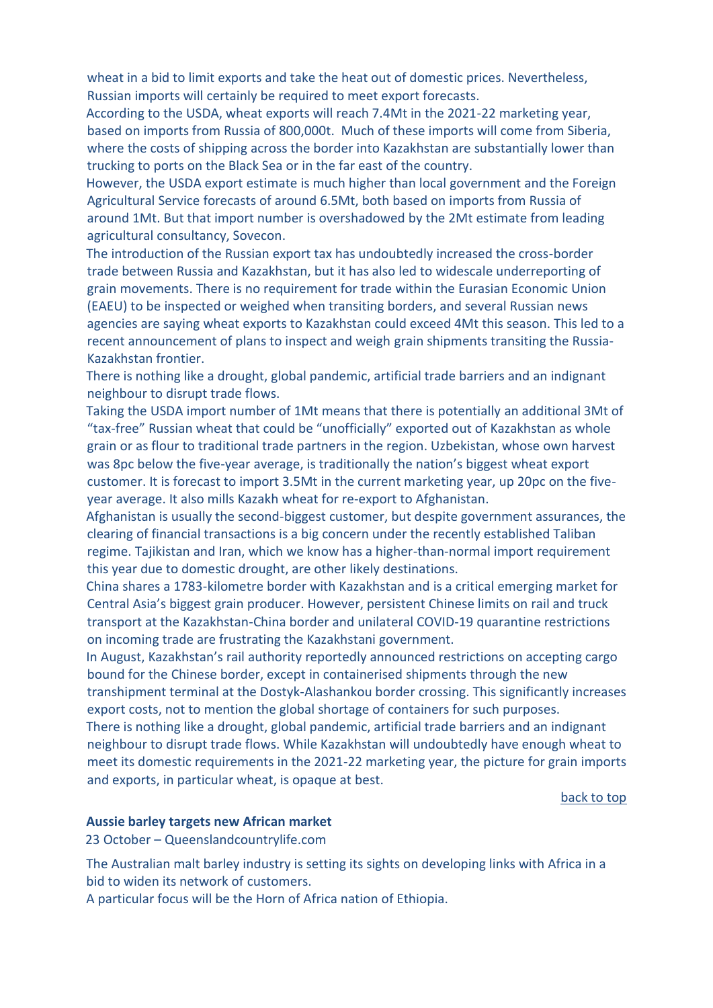wheat in a bid to limit exports and take the heat out of domestic prices. Nevertheless, Russian imports will certainly be required to meet export forecasts.

According to the USDA, wheat exports will reach 7.4Mt in the 2021-22 marketing year, based on imports from Russia of 800,000t. Much of these imports will come from Siberia, where the costs of shipping across the border into Kazakhstan are substantially lower than trucking to ports on the Black Sea or in the far east of the country.

However, the USDA export estimate is much higher than local government and the Foreign Agricultural Service forecasts of around 6.5Mt, both based on imports from Russia of around 1Mt. But that import number is overshadowed by the 2Mt estimate from leading agricultural consultancy, Sovecon.

The introduction of the Russian export tax has undoubtedly increased the cross-border trade between Russia and Kazakhstan, but it has also led to widescale underreporting of grain movements. There is no requirement for trade within the Eurasian Economic Union (EAEU) to be inspected or weighed when transiting borders, and several Russian news agencies are saying wheat exports to Kazakhstan could exceed 4Mt this season. This led to a recent announcement of plans to inspect and weigh grain shipments transiting the Russia-Kazakhstan frontier.

There is nothing like a drought, global pandemic, artificial trade barriers and an indignant neighbour to disrupt trade flows.

Taking the USDA import number of 1Mt means that there is potentially an additional 3Mt of "tax-free" Russian wheat that could be "unofficially" exported out of Kazakhstan as whole grain or as flour to traditional trade partners in the region. Uzbekistan, whose own harvest was 8pc below the five-year average, is traditionally the nation's biggest wheat export customer. It is forecast to import 3.5Mt in the current marketing year, up 20pc on the fiveyear average. It also mills Kazakh wheat for re-export to Afghanistan.

Afghanistan is usually the second-biggest customer, but despite government assurances, the clearing of financial transactions is a big concern under the recently established Taliban regime. Tajikistan and Iran, which we know has a higher-than-normal import requirement this year due to domestic drought, are other likely destinations.

China shares a 1783-kilometre border with Kazakhstan and is a critical emerging market for Central Asia's biggest grain producer. However, persistent Chinese limits on rail and truck transport at the Kazakhstan-China border and unilateral COVID-19 quarantine restrictions on incoming trade are frustrating the Kazakhstani government.

In August, Kazakhstan's rail authority reportedly announced restrictions on accepting cargo bound for the Chinese border, except in containerised shipments through the new transhipment terminal at the Dostyk-Alashankou border crossing. This significantly increases export costs, not to mention the global shortage of containers for such purposes.

There is nothing like a drought, global pandemic, artificial trade barriers and an indignant neighbour to disrupt trade flows. While Kazakhstan will undoubtedly have enough wheat to meet its domestic requirements in the 2021-22 marketing year, the picture for grain imports and exports, in particular wheat, is opaque at best.

#### [back to top](#page-0-0)

#### <span id="page-4-0"></span>**Aussie barley targets new African market**

23 October – Queenslandcountrylife.com

The Australian malt barley industry is setting its sights on developing links with Africa in a bid to widen its network of customers.

A particular focus will be the Horn of Africa nation of Ethiopia.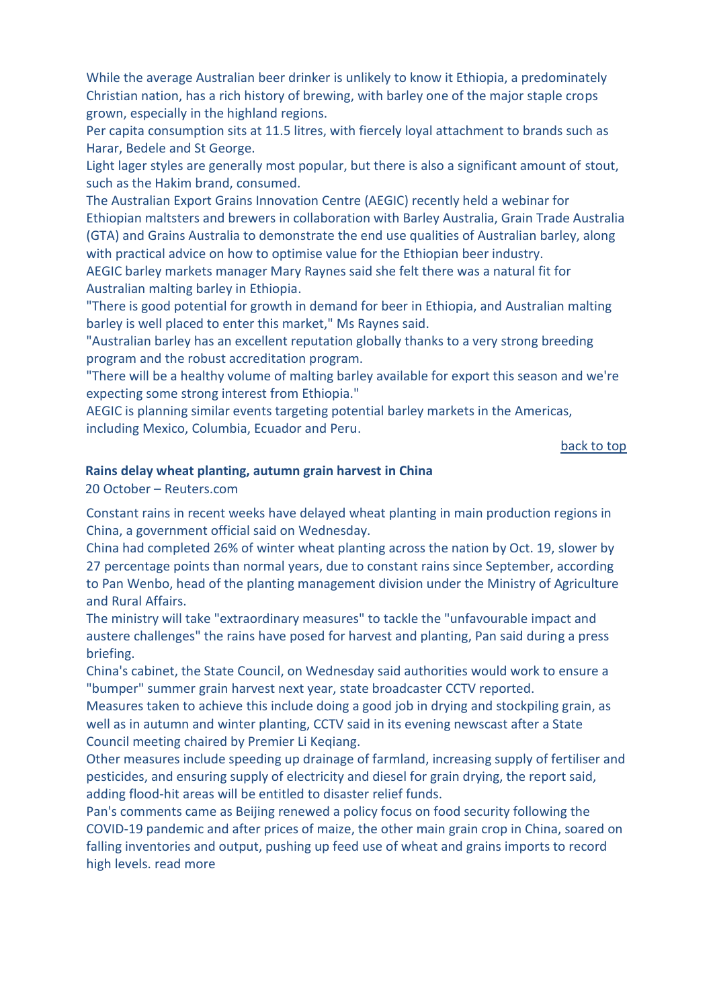While the average Australian beer drinker is unlikely to know it Ethiopia, a predominately Christian nation, has a rich history of brewing, with barley one of the major staple crops grown, especially in the highland regions.

Per capita consumption sits at 11.5 litres, with fiercely loyal attachment to brands such as Harar, Bedele and St George.

Light lager styles are generally most popular, but there is also a significant amount of stout, such as the Hakim brand, consumed.

The Australian Export Grains Innovation Centre (AEGIC) recently held a webinar for Ethiopian maltsters and brewers in collaboration with Barley Australia, Grain Trade Australia (GTA) and Grains Australia to demonstrate the end use qualities of Australian barley, along with practical advice on how to optimise value for the Ethiopian beer industry.

AEGIC barley markets manager Mary Raynes said she felt there was a natural fit for Australian malting barley in Ethiopia.

"There is good potential for growth in demand for beer in Ethiopia, and Australian malting barley is well placed to enter this market," Ms Raynes said.

"Australian barley has an excellent reputation globally thanks to a very strong breeding program and the robust accreditation program.

"There will be a healthy volume of malting barley available for export this season and we're expecting some strong interest from Ethiopia."

AEGIC is planning similar events targeting potential barley markets in the Americas, including Mexico, Columbia, Ecuador and Peru.

#### [back to top](#page-0-0)

#### <span id="page-5-0"></span>**Rains delay wheat planting, autumn grain harvest in China**

20 October – Reuters.com

Constant rains in recent weeks have delayed wheat planting in main production regions in China, a government official said on Wednesday.

China had completed 26% of winter wheat planting across the nation by Oct. 19, slower by 27 percentage points than normal years, due to constant rains since September, according to Pan Wenbo, head of the planting management division under the Ministry of Agriculture and Rural Affairs.

The ministry will take "extraordinary measures" to tackle the "unfavourable impact and austere challenges" the rains have posed for harvest and planting, Pan said during a press briefing.

China's cabinet, the State Council, on Wednesday said authorities would work to ensure a "bumper" summer grain harvest next year, state broadcaster CCTV reported.

Measures taken to achieve this include doing a good job in drying and stockpiling grain, as well as in autumn and winter planting, CCTV said in its evening newscast after a State Council meeting chaired by Premier Li Keqiang.

Other measures include speeding up drainage of farmland, increasing supply of fertiliser and pesticides, and ensuring supply of electricity and diesel for grain drying, the report said, adding flood-hit areas will be entitled to disaster relief funds.

Pan's comments came as Beijing renewed a policy focus on food security following the COVID-19 pandemic and after prices of maize, the other main grain crop in China, soared on falling inventories and output, pushing up feed use of wheat and grains imports to record high levels. read more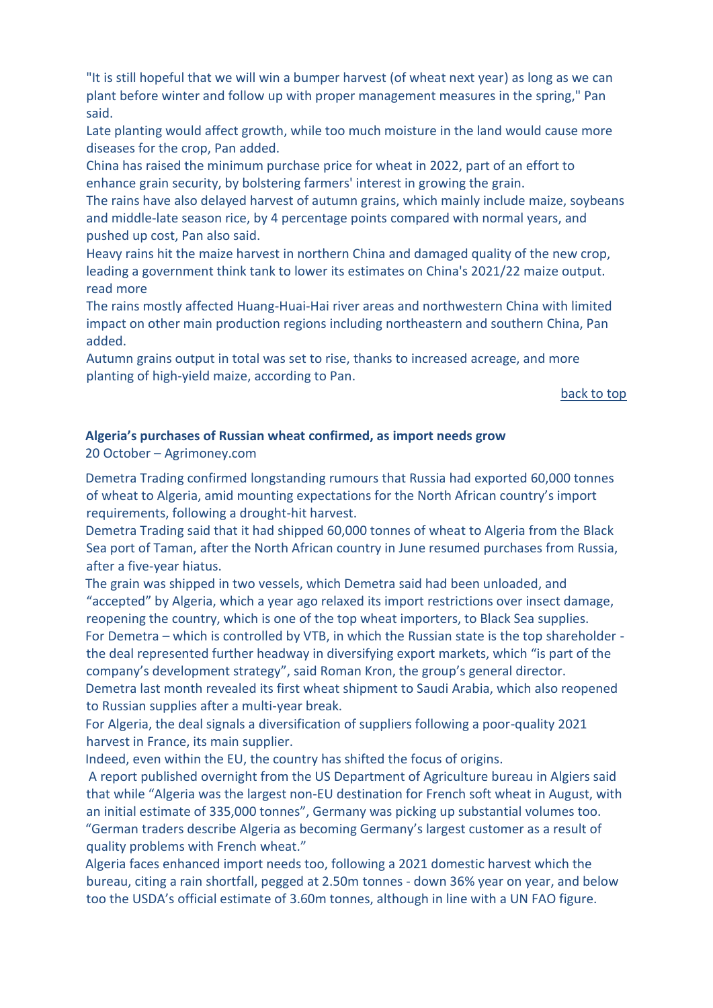"It is still hopeful that we will win a bumper harvest (of wheat next year) as long as we can plant before winter and follow up with proper management measures in the spring," Pan said.

Late planting would affect growth, while too much moisture in the land would cause more diseases for the crop, Pan added.

China has raised the minimum purchase price for wheat in 2022, part of an effort to enhance grain security, by bolstering farmers' interest in growing the grain.

The rains have also delayed harvest of autumn grains, which mainly include maize, soybeans and middle-late season rice, by 4 percentage points compared with normal years, and pushed up cost, Pan also said.

Heavy rains hit the maize harvest in northern China and damaged quality of the new crop, leading a government think tank to lower its estimates on China's 2021/22 maize output. read more

The rains mostly affected Huang-Huai-Hai river areas and northwestern China with limited impact on other main production regions including northeastern and southern China, Pan added.

Autumn grains output in total was set to rise, thanks to increased acreage, and more planting of high-yield maize, according to Pan.

[back to top](#page-0-0) 

### <span id="page-6-0"></span>**Algeria's purchases of Russian wheat confirmed, as import needs grow**

20 October – Agrimoney.com

Demetra Trading confirmed longstanding rumours that Russia had exported 60,000 tonnes of wheat to Algeria, amid mounting expectations for the North African country's import requirements, following a drought-hit harvest.

Demetra Trading said that it had shipped 60,000 tonnes of wheat to Algeria from the Black Sea port of Taman, after the North African country in June resumed purchases from Russia, after a five-year hiatus.

The grain was shipped in two vessels, which Demetra said had been unloaded, and "accepted" by Algeria, which a year ago relaxed its import restrictions over insect damage, reopening the country, which is one of the top wheat importers, to Black Sea supplies. For Demetra – which is controlled by VTB, in which the Russian state is the top shareholder the deal represented further headway in diversifying export markets, which "is part of the company's development strategy", said Roman Kron, the group's general director. Demetra last month revealed its first wheat shipment to Saudi Arabia, which also reopened to Russian supplies after a multi-year break.

For Algeria, the deal signals a diversification of suppliers following a poor-quality 2021 harvest in France, its main supplier.

Indeed, even within the EU, the country has shifted the focus of origins.

A report published overnight from the US Department of Agriculture bureau in Algiers said that while "Algeria was the largest non-EU destination for French soft wheat in August, with an initial estimate of 335,000 tonnes", Germany was picking up substantial volumes too. "German traders describe Algeria as becoming Germany's largest customer as a result of quality problems with French wheat."

Algeria faces enhanced import needs too, following a 2021 domestic harvest which the bureau, citing a rain shortfall, pegged at 2.50m tonnes - down 36% year on year, and below too the USDA's official estimate of 3.60m tonnes, although in line with a UN FAO figure.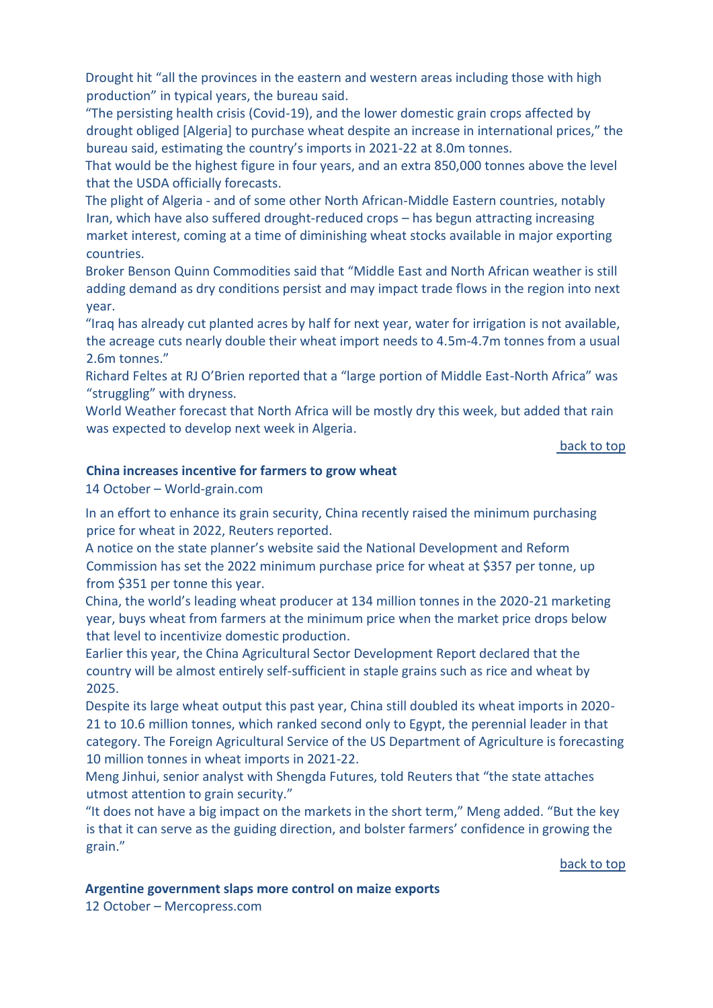Drought hit "all the provinces in the eastern and western areas including those with high production" in typical years, the bureau said.

"The persisting health crisis (Covid-19), and the lower domestic grain crops affected by drought obliged [Algeria] to purchase wheat despite an increase in international prices," the bureau said, estimating the country's imports in 2021-22 at 8.0m tonnes.

That would be the highest figure in four years, and an extra 850,000 tonnes above the level that the USDA officially forecasts.

The plight of Algeria - and of some other North African-Middle Eastern countries, notably Iran, which have also suffered drought-reduced crops – has begun attracting increasing market interest, coming at a time of diminishing wheat stocks available in major exporting countries.

Broker Benson Quinn Commodities said that "Middle East and North African weather is still adding demand as dry conditions persist and may impact trade flows in the region into next year.

"Iraq has already cut planted acres by half for next year, water for irrigation is not available, the acreage cuts nearly double their wheat import needs to 4.5m-4.7m tonnes from a usual 2.6m tonnes."

Richard Feltes at RJ O'Brien reported that a "large portion of Middle East-North Africa" was "struggling" with dryness.

World Weather forecast that North Africa will be mostly dry this week, but added that rain was expected to develop next week in Algeria.

[back to top](#page-0-0) 

#### **China increases incentive for farmers to grow wheat**

14 October – World-grain.com

In an effort to enhance its grain security, China recently raised the minimum purchasing price for wheat in 2022, Reuters reported.

A notice on the state planner's website said the National Development and Reform Commission has set the 2022 minimum purchase price for wheat at \$357 per tonne, up from \$351 per tonne this year.

China, the world's leading wheat producer at 134 million tonnes in the 2020-21 marketing year, buys wheat from farmers at the minimum price when the market price drops below that level to incentivize domestic production.

Earlier this year, the China Agricultural Sector Development Report declared that the country will be almost entirely self-sufficient in staple grains such as rice and wheat by 2025.

Despite its large wheat output this past year, China still doubled its wheat imports in 2020- 21 to 10.6 million tonnes, which ranked second only to Egypt, the perennial leader in that category. The Foreign Agricultural Service of the US Department of Agriculture is forecasting 10 million tonnes in wheat imports in 2021-22.

Meng Jinhui, senior analyst with Shengda Futures, told Reuters that "the state attaches utmost attention to grain security."

"It does not have a big impact on the markets in the short term," Meng added. "But the key is that it can serve as the guiding direction, and bolster farmers' confidence in growing the grain."

[back to top](#page-0-0) 

<span id="page-7-0"></span>**Argentine government slaps more control on maize exports**

12 October – Mercopress.com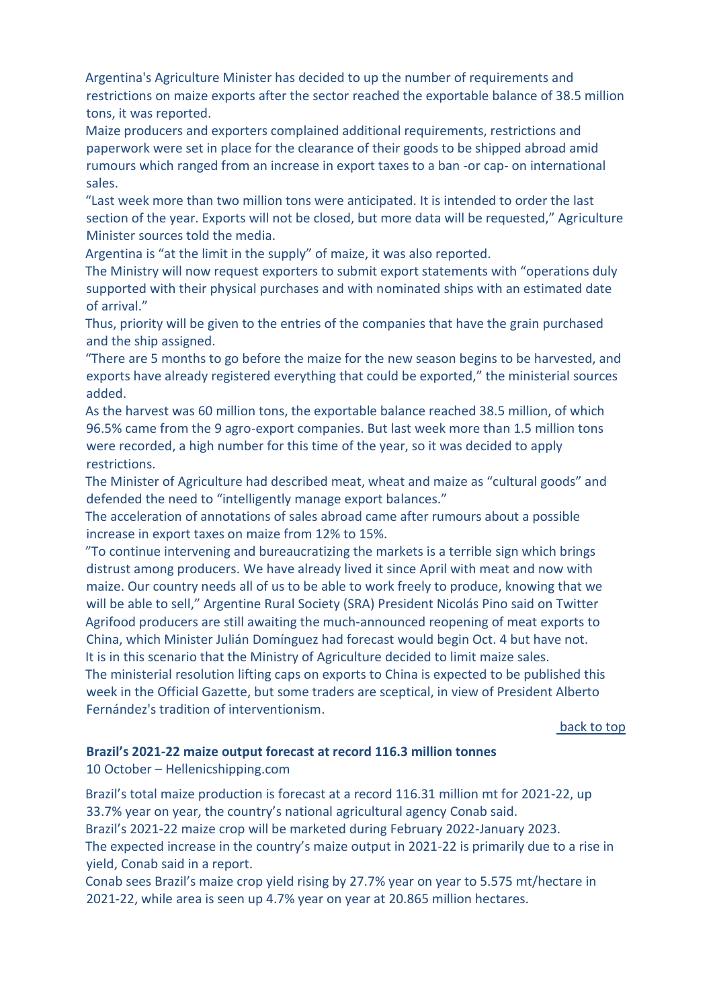Argentina's Agriculture Minister has decided to up the number of requirements and restrictions on maize exports after the sector reached the exportable balance of 38.5 million tons, it was reported.

Maize producers and exporters complained additional requirements, restrictions and paperwork were set in place for the clearance of their goods to be shipped abroad amid rumours which ranged from an increase in export taxes to a ban -or cap- on international sales.

"Last week more than two million tons were anticipated. It is intended to order the last section of the year. Exports will not be closed, but more data will be requested," Agriculture Minister sources told the media.

Argentina is "at the limit in the supply" of maize, it was also reported.

The Ministry will now request exporters to submit export statements with "operations duly supported with their physical purchases and with nominated ships with an estimated date of arrival."

Thus, priority will be given to the entries of the companies that have the grain purchased and the ship assigned.

"There are 5 months to go before the maize for the new season begins to be harvested, and exports have already registered everything that could be exported," the ministerial sources added.

As the harvest was 60 million tons, the exportable balance reached 38.5 million, of which 96.5% came from the 9 agro-export companies. But last week more than 1.5 million tons were recorded, a high number for this time of the year, so it was decided to apply restrictions.

The Minister of Agriculture had described meat, wheat and maize as "cultural goods" and defended the need to "intelligently manage export balances."

The acceleration of annotations of sales abroad came after rumours about a possible increase in export taxes on maize from 12% to 15%.

"To continue intervening and bureaucratizing the markets is a terrible sign which brings distrust among producers. We have already lived it since April with meat and now with maize. Our country needs all of us to be able to work freely to produce, knowing that we will be able to sell," Argentine Rural Society (SRA) President Nicolás Pino said on Twitter Agrifood producers are still awaiting the much-announced reopening of meat exports to China, which Minister Julián Domínguez had forecast would begin Oct. 4 but have not. It is in this scenario that the Ministry of Agriculture decided to limit maize sales.

The ministerial resolution lifting caps on exports to China is expected to be published this week in the Official Gazette, but some traders are sceptical, in view of President Alberto Fernández's tradition of interventionism.

[back to top](#page-0-0) 

### <span id="page-8-0"></span>**Brazil's 2021-22 maize output forecast at record 116.3 million tonnes**

10 October – Hellenicshipping.com

Brazil's total maize production is forecast at a record 116.31 million mt for 2021-22, up 33.7% year on year, the country's national agricultural agency Conab said. Brazil's 2021-22 maize crop will be marketed during February 2022-January 2023. The expected increase in the country's maize output in 2021-22 is primarily due to a rise in yield, Conab said in a report.

Conab sees Brazil's maize crop yield rising by 27.7% year on year to 5.575 mt/hectare in 2021-22, while area is seen up 4.7% year on year at 20.865 million hectares.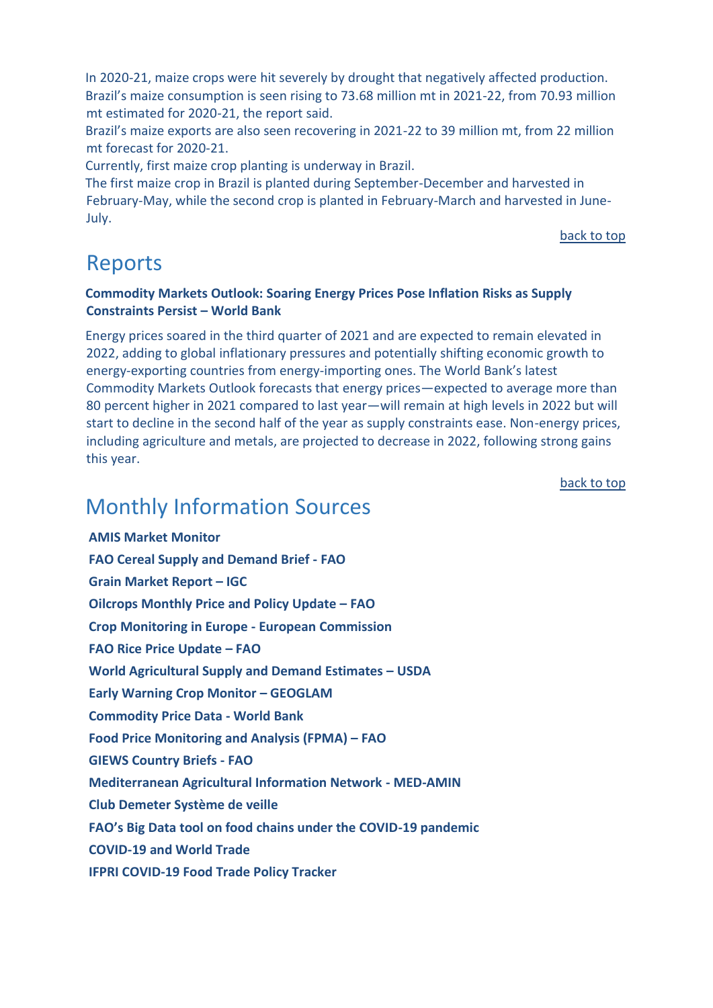In 2020-21, maize crops were hit severely by drought that negatively affected production. Brazil's maize consumption is seen rising to 73.68 million mt in 2021-22, from 70.93 million mt estimated for 2020-21, the report said.

Brazil's maize exports are also seen recovering in 2021-22 to 39 million mt, from 22 million mt forecast for 2020-21.

Currently, first maize crop planting is underway in Brazil.

The first maize crop in Brazil is planted during September-December and harvested in February-May, while the second crop is planted in February-March and harvested in June-July.

[back to top](#page-0-0)

# <span id="page-9-0"></span>Reports

### <span id="page-9-1"></span>**Commodity Markets Outlook: [Soaring Energy Prices Pose Inflation Risks as Supply](https://www.worldbank.org/en/news/press-release/2021/10/21/soaring-energy-prices-pose-inflation-risks-as-supply-constraints-persist)  [Constraints Persist](https://www.worldbank.org/en/news/press-release/2021/10/21/soaring-energy-prices-pose-inflation-risks-as-supply-constraints-persist) – World Bank**

Energy prices soared in the third quarter of 2021 and are expected to remain elevated in 2022, adding to global inflationary pressures and potentially shifting economic growth to energy-exporting countries from energy-importing ones. The World Bank's latest Commodity Markets Outlook forecasts that energy prices—expected to average more than 80 percent higher in 2021 compared to last year—will remain at high levels in 2022 but will start to decline in the second half of the year as supply constraints ease. Non-energy prices, including agriculture and metals, are projected to decrease in 2022, following strong gains this year.

[back to top](#page-0-0) 

# <span id="page-9-2"></span>Monthly Information Sources

**[AMIS Market Monitor](http://www.amis-outlook.org/amis-monitoring/monthly-report/en/)  [FAO Cereal Supply and Demand Brief -](http://www.fao.org/worldfoodsituation/csdb/en/) FAO [Grain Market Report](https://www.igc.int/en/gmr_summary.aspx) – IGC [Oilcrops Monthly Price and Policy Update](https://www.fao.org/markets-and-trade/publications/detail/en/c/1443956/) – FAO [Crop Monitoring in Europe -](https://publications.jrc.ec.europa.eu/repository/handle/JRC124855) European Commission [FAO Rice Price Update](http://www.fao.org/economic/est/publications/rice-publications/the-fao-rice-price-update/en/) – FAO [World Agricultural Supply and Demand Estimates](https://www.usda.gov/oce/commodity/wasde/wasde1021.pdf) – USDA [Early Warning Crop Monitor](https://cropmonitor.org/index.php/cmreports/earlywarning-report/) - GEOGLAM [Commodity Price Data -](https://thedocs.worldbank.org/en/doc/5d903e848db1d1b83e0ec8f744e55570-0350012021/related/CMO-Pink-Sheet-October-2021.pdf) World Bank [Food Price Monitoring and Analysis \(FPMA\)](https://www.fao.org/3/cb7115en/cb7115en.pdf) – FAO [GIEWS Country Briefs -](http://www.fao.org/giews/en/) FA[O](http://www.fao.org/giews/en/) [Mediterranean Agricultural Information Network -](https://www.scoop.it/topic/med-amin) MED-AMIN [Club Demeter Système de veille](https://www.scoop.it/u/club-demeter) [FAO's Big Data tool on food chains under the COVID](http://www.fao.org/datalab/website/web/covid19)-19 pandemic [COVID-19 and World Trade](https://www.wto.org/english/tratop_e/covid19_e/covid19_e.htm) [IFPRI COVID-19 Food Trade Policy Tracker](https://www.ifpri.org/project/covid-19-food-trade-policy-tracker)**